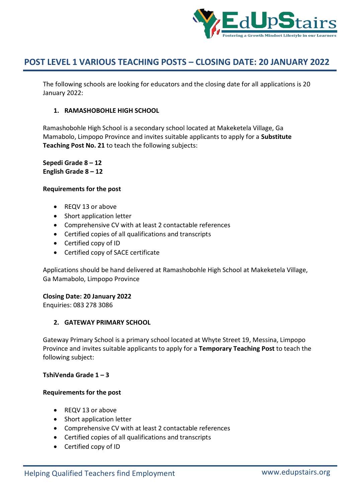

The following schools are looking for educators and the closing date for all applications is 20 January 2022:

## **1. RAMASHOBOHLE HIGH SCHOOL**

Ramashobohle High School is a secondary school located at Makeketela Village, Ga Mamabolo, Limpopo Province and invites suitable applicants to apply for a **Substitute Teaching Post No. 21** to teach the following subjects:

**Sepedi Grade 8 – 12 English Grade 8 – 12**

#### **Requirements for the post**

- REQV 13 or above
- Short application letter
- Comprehensive CV with at least 2 contactable references
- Certified copies of all qualifications and transcripts
- Certified copy of ID
- Certified copy of SACE certificate

Applications should be hand delivered at Ramashobohle High School at Makeketela Village, Ga Mamabolo, Limpopo Province

### **Closing Date: 20 January 2022**

Enquiries: 083 278 3086

### **2. GATEWAY PRIMARY SCHOOL**

Gateway Primary School is a primary school located at Whyte Street 19, Messina, Limpopo Province and invites suitable applicants to apply for a **Temporary Teaching Post** to teach the following subject:

#### **TshiVenda Grade 1 – 3**

- REQV 13 or above
- Short application letter
- Comprehensive CV with at least 2 contactable references
- Certified copies of all qualifications and transcripts
- Certified copy of ID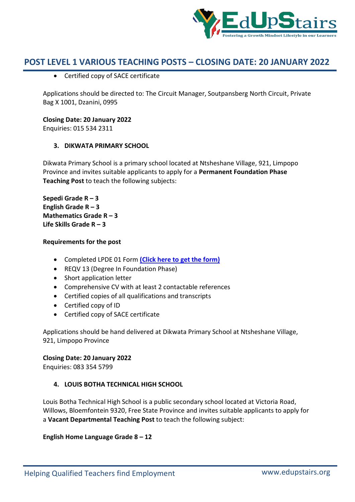

Certified copy of SACE certificate

Applications should be directed to: The Circuit Manager, Soutpansberg North Circuit, Private Bag X 1001, Dzanini, 0995

**Closing Date: 20 January 2022**

Enquiries: 015 534 2311

## **3. DIKWATA PRIMARY SCHOOL**

Dikwata Primary School is a primary school located at Ntsheshane Village, 921, Limpopo Province and invites suitable applicants to apply for a **Permanent Foundation Phase Teaching Post** to teach the following subjects:

**Sepedi Grade R – 3 English Grade R – 3 Mathematics Grade R – 3 Life Skills Grade R – 3**

## **Requirements for the post**

- Completed LPDE 01 Form **(Click here to get the form)**
- REQV 13 (Degree In Foundation Phase)
- Short application letter
- Comprehensive CV with at least 2 contactable references
- Certified copies of all qualifications and transcripts
- Certified copy of ID
- Certified copy of SACE certificate

Applications should be hand delivered at Dikwata Primary School at Ntsheshane Village, 921, Limpopo Province

### **Closing Date: 20 January 2022**

Enquiries: 083 354 5799

# **4. LOUIS BOTHA TECHNICAL HIGH SCHOOL**

Louis Botha Technical High School is a public secondary school located at Victoria Road, Willows, Bloemfontein 9320, Free State Province and invites suitable applicants to apply for a **Vacant Departmental Teaching Post** to teach the following subject:

**English Home Language Grade 8 – 12**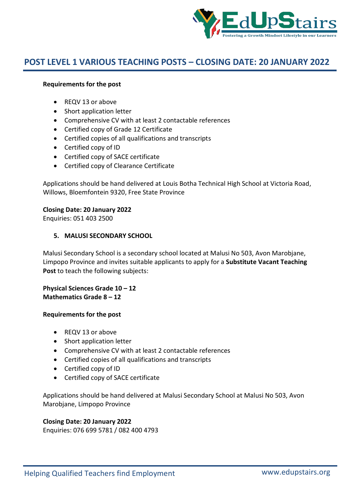

#### **Requirements for the post**

- REQV 13 or above
- Short application letter
- Comprehensive CV with at least 2 contactable references
- Certified copy of Grade 12 Certificate
- Certified copies of all qualifications and transcripts
- Certified copy of ID
- Certified copy of SACE certificate
- Certified copy of Clearance Certificate

Applications should be hand delivered at Louis Botha Technical High School at Victoria Road, Willows, Bloemfontein 9320, Free State Province

#### **Closing Date: 20 January 2022**

Enquiries: 051 403 2500

#### **5. MALUSI SECONDARY SCHOOL**

Malusi Secondary School is a secondary school located at Malusi No 503, Avon Marobjane, Limpopo Province and invites suitable applicants to apply for a **Substitute Vacant Teaching Post** to teach the following subjects:

**Physical Sciences Grade 10 – 12 Mathematics Grade 8 – 12**

#### **Requirements for the post**

- REQV 13 or above
- Short application letter
- Comprehensive CV with at least 2 contactable references
- Certified copies of all qualifications and transcripts
- Certified copy of ID
- Certified copy of SACE certificate

Applications should be hand delivered at Malusi Secondary School at Malusi No 503, Avon Marobjane, Limpopo Province

#### **Closing Date: 20 January 2022**

Enquiries: 076 699 5781 / 082 400 4793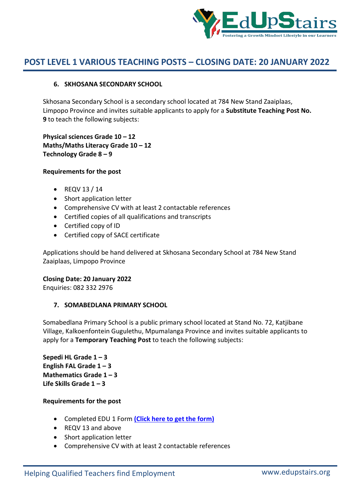

### **6. SKHOSANA SECONDARY SCHOOL**

Skhosana Secondary School is a secondary school located at 784 New Stand Zaaiplaas, Limpopo Province and invites suitable applicants to apply for a **Substitute Teaching Post No. 9** to teach the following subjects:

**Physical sciences Grade 10 – 12 Maths/Maths Literacy Grade 10 – 12 Technology Grade 8 – 9**

#### **Requirements for the post**

- $\bullet$  REQV 13 / 14
- Short application letter
- Comprehensive CV with at least 2 contactable references
- Certified copies of all qualifications and transcripts
- Certified copy of ID
- Certified copy of SACE certificate

Applications should be hand delivered at Skhosana Secondary School at 784 New Stand Zaaiplaas, Limpopo Province

### **Closing Date: 20 January 2022**

Enquiries: 082 332 2976

### **7. SOMABEDLANA PRIMARY SCHOOL**

Somabedlana Primary School is a public primary school located at Stand No. 72, Katjibane Village, Kalkoenfontein Gugulethu, Mpumalanga Province and invites suitable applicants to apply for a **Temporary Teaching Post** to teach the following subjects:

**Sepedi HL Grade 1 – 3 English FAL Grade 1 – 3 Mathematics Grade 1 – 3 Life Skills Grade 1 – 3**

- Completed EDU 1 Form **(Click here to get the form)**
- REQV 13 and above
- Short application letter
- Comprehensive CV with at least 2 contactable references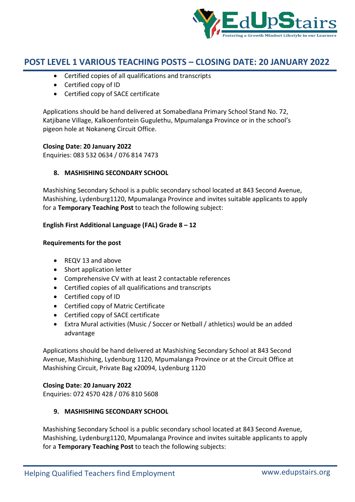

- Certified copies of all qualifications and transcripts
- Certified copy of ID
- Certified copy of SACE certificate

Applications should be hand delivered at Somabedlana Primary School Stand No. 72, Katjibane Village, Kalkoenfontein Gugulethu, Mpumalanga Province or in the school's pigeon hole at Nokaneng Circuit Office.

### **Closing Date: 20 January 2022**

Enquiries: 083 532 0634 / 076 814 7473

## **8. MASHISHING SECONDARY SCHOOL**

Mashishing Secondary School is a public secondary school located at 843 Second Avenue, Mashishing, Lydenburg1120, Mpumalanga Province and invites suitable applicants to apply for a **Temporary Teaching Post** to teach the following subject:

## **English First Additional Language (FAL) Grade 8 – 12**

### **Requirements for the post**

- REQV 13 and above
- Short application letter
- Comprehensive CV with at least 2 contactable references
- Certified copies of all qualifications and transcripts
- Certified copy of ID
- Certified copy of Matric Certificate
- Certified copy of SACE certificate
- Extra Mural activities (Music / Soccer or Netball / athletics) would be an added advantage

Applications should be hand delivered at Mashishing Secondary School at 843 Second Avenue, Mashishing, Lydenburg 1120, Mpumalanga Province or at the Circuit Office at Mashishing Circuit, Private Bag x20094, Lydenburg 1120

### **Closing Date: 20 January 2022**

Enquiries: 072 4570 428 / 076 810 5608

# **9. MASHISHING SECONDARY SCHOOL**

Mashishing Secondary School is a public secondary school located at 843 Second Avenue, Mashishing, Lydenburg1120, Mpumalanga Province and invites suitable applicants to apply for a **Temporary Teaching Post** to teach the following subjects: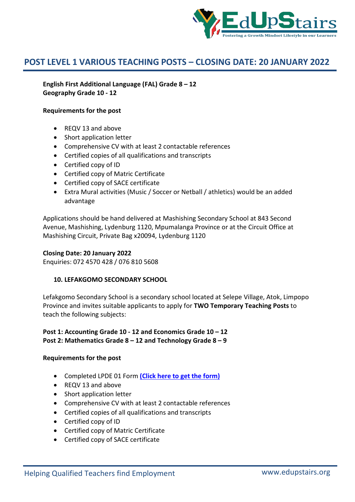

**English First Additional Language (FAL) Grade 8 – 12 Geography Grade 10 - 12**

#### **Requirements for the post**

- REQV 13 and above
- Short application letter
- Comprehensive CV with at least 2 contactable references
- Certified copies of all qualifications and transcripts
- Certified copy of ID
- Certified copy of Matric Certificate
- Certified copy of SACE certificate
- Extra Mural activities (Music / Soccer or Netball / athletics) would be an added advantage

Applications should be hand delivered at Mashishing Secondary School at 843 Second Avenue, Mashishing, Lydenburg 1120, Mpumalanga Province or at the Circuit Office at Mashishing Circuit, Private Bag x20094, Lydenburg 1120

#### **Closing Date: 20 January 2022**

Enquiries: 072 4570 428 / 076 810 5608

### **10. LEFAKGOMO SECONDARY SCHOOL**

Lefakgomo Secondary School is a secondary school located at Selepe Village, Atok, Limpopo Province and invites suitable applicants to apply for **TWO Temporary Teaching Posts** to teach the following subjects:

## **Post 1: Accounting Grade 10 - 12 and Economics Grade 10 – 12 Post 2: Mathematics Grade 8 – 12 and Technology Grade 8 – 9**

- Completed LPDE 01 Form **(Click here to get the form)**
- REQV 13 and above
- Short application letter
- Comprehensive CV with at least 2 contactable references
- Certified copies of all qualifications and transcripts
- Certified copy of ID
- Certified copy of Matric Certificate
- Certified copy of SACE certificate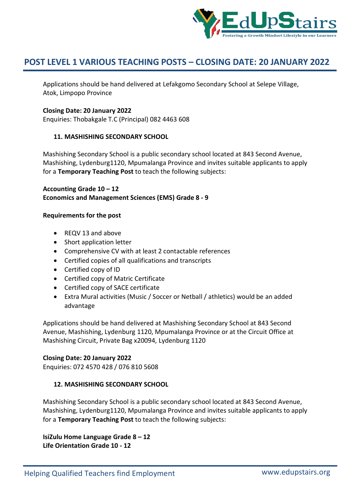

Applications should be hand delivered at Lefakgomo Secondary School at Selepe Village, Atok, Limpopo Province

### **Closing Date: 20 January 2022**

Enquiries: Thobakgale T.C (Principal) 082 4463 608

#### **11. MASHISHING SECONDARY SCHOOL**

Mashishing Secondary School is a public secondary school located at 843 Second Avenue, Mashishing, Lydenburg1120, Mpumalanga Province and invites suitable applicants to apply for a **Temporary Teaching Post** to teach the following subjects:

**Accounting Grade 10 – 12 Economics and Management Sciences (EMS) Grade 8 - 9**

#### **Requirements for the post**

- REQV 13 and above
- Short application letter
- Comprehensive CV with at least 2 contactable references
- Certified copies of all qualifications and transcripts
- Certified copy of ID
- Certified copy of Matric Certificate
- Certified copy of SACE certificate
- Extra Mural activities (Music / Soccer or Netball / athletics) would be an added advantage

Applications should be hand delivered at Mashishing Secondary School at 843 Second Avenue, Mashishing, Lydenburg 1120, Mpumalanga Province or at the Circuit Office at Mashishing Circuit, Private Bag x20094, Lydenburg 1120

#### **Closing Date: 20 January 2022**

Enquiries: 072 4570 428 / 076 810 5608

### **12. MASHISHING SECONDARY SCHOOL**

Mashishing Secondary School is a public secondary school located at 843 Second Avenue, Mashishing, Lydenburg1120, Mpumalanga Province and invites suitable applicants to apply for a **Temporary Teaching Post** to teach the following subjects:

**IsiZulu Home Language Grade 8 – 12 Life Orientation Grade 10 - 12**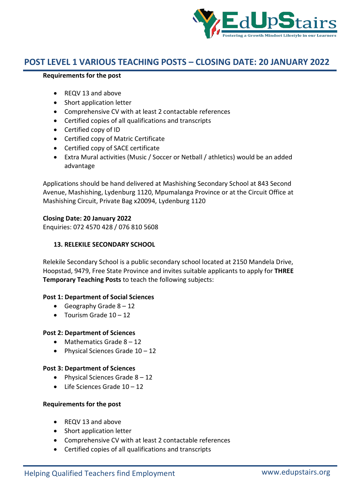

#### **Requirements for the post**

- REQV 13 and above
- Short application letter
- Comprehensive CV with at least 2 contactable references
- Certified copies of all qualifications and transcripts
- Certified copy of ID
- Certified copy of Matric Certificate
- Certified copy of SACE certificate
- Extra Mural activities (Music / Soccer or Netball / athletics) would be an added advantage

Applications should be hand delivered at Mashishing Secondary School at 843 Second Avenue, Mashishing, Lydenburg 1120, Mpumalanga Province or at the Circuit Office at Mashishing Circuit, Private Bag x20094, Lydenburg 1120

## **Closing Date: 20 January 2022**

Enquiries: 072 4570 428 / 076 810 5608

## **13. RELEKILE SECONDARY SCHOOL**

Relekile Secondary School is a public secondary school located at 2150 Mandela Drive, Hoopstad, 9479, Free State Province and invites suitable applicants to apply for **THREE Temporary Teaching Posts** to teach the following subjects:

### **Post 1: Department of Social Sciences**

- Geography Grade  $8 12$
- $\bullet$  Tourism Grade  $10 12$

### **Post 2: Department of Sciences**

- $\bullet$  Mathematics Grade  $8 12$
- Physical Sciences Grade  $10 12$

### **Post 3: Department of Sciences**

- Physical Sciences Grade  $8 12$
- Life Sciences Grade 10 12

- REQV 13 and above
- Short application letter
- Comprehensive CV with at least 2 contactable references
- Certified copies of all qualifications and transcripts